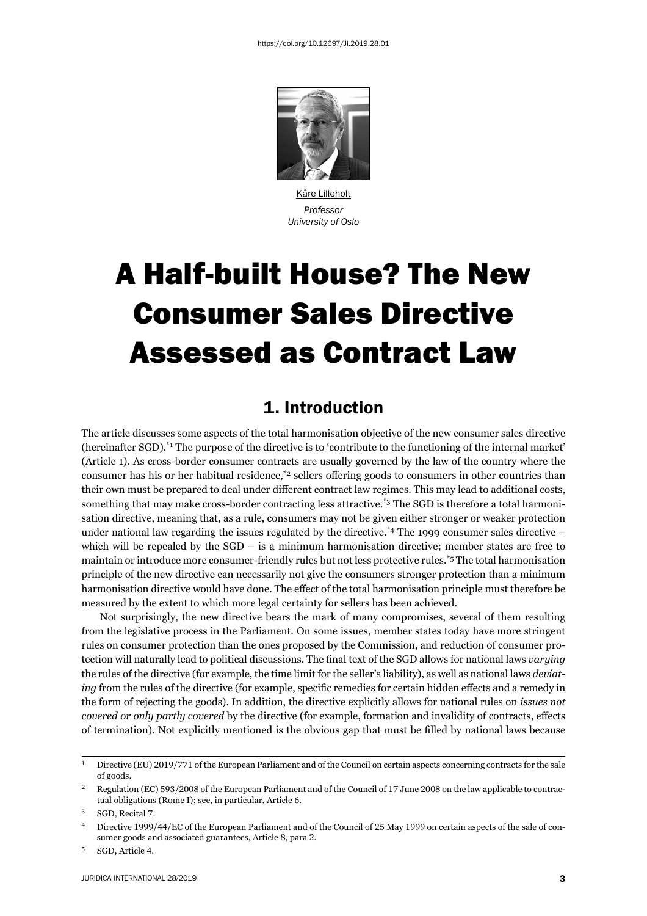

Kåre Lilleholt *Professor University of Oslo*

# A Half-built House? The New Consumer Sales Directive Assessed as Contract Law

#### 1. Introduction

The article discusses some aspects of the total harmonisation objective of the new consumer sales directive (hereinafter SGD).\*1 The purpose of the directive is to 'contribute to the functioning of the internal market' (Article 1). As cross-border consumer contracts are usually governed by the law of the country where the consumer has his or her habitual residence,<sup>\*2</sup> sellers offering goods to consumers in other countries than their own must be prepared to deal under different contract law regimes. This may lead to additional costs, something that may make cross-border contracting less attractive.\*3 The SGD is therefore a total harmonisation directive, meaning that, as a rule, consumers may not be given either stronger or weaker protection under national law regarding the issues regulated by the directive.<sup>\*4</sup> The 1999 consumer sales directive – which will be repealed by the SGD – is a minimum harmonisation directive; member states are free to maintain or introduce more consumer-friendly rules but not less protective rules.\*5 The total harmonisation principle of the new directive can necessarily not give the consumers stronger protection than a minimum harmonisation directive would have done. The effect of the total harmonisation principle must therefore be measured by the extent to which more legal certainty for sellers has been achieved.

Not surprisingly, the new directive bears the mark of many compromises, several of them resulting from the legislative process in the Parliament. On some issues, member states today have more stringent rules on consumer protection than the ones proposed by the Commission, and reduction of consumer protection will naturally lead to political discussions. The final text of the SGD allows for national laws *varying* the rules of the directive (for example, the time limit for the seller's liability), as well as national laws *deviating* from the rules of the directive (for example, specific remedies for certain hidden effects and a remedy in the form of rejecting the goods). In addition, the directive explicitly allows for national rules on *issues not covered or only partly covered* by the directive (for example, formation and invalidity of contracts, effects of termination). Not explicitly mentioned is the obvious gap that must be filled by national laws because

<sup>&</sup>lt;sup>1</sup> Directive (EU) 2019/771 of the European Parliament and of the Council on certain aspects concerning contracts for the sale of goods.

Regulation (EC) 593/2008 of the European Parliament and of the Council of 17 June 2008 on the law applicable to contractual obligations (Rome I); see, in particular, Article 6.

<sup>&</sup>lt;sup>3</sup> SGD, Recital 7.

<sup>&</sup>lt;sup>4</sup> Directive 1999/44/EC of the European Parliament and of the Council of 25 May 1999 on certain aspects of the sale of consumer goods and associated guarantees, Article 8, para 2.

<sup>&</sup>lt;sup>5</sup> SGD, Article 4.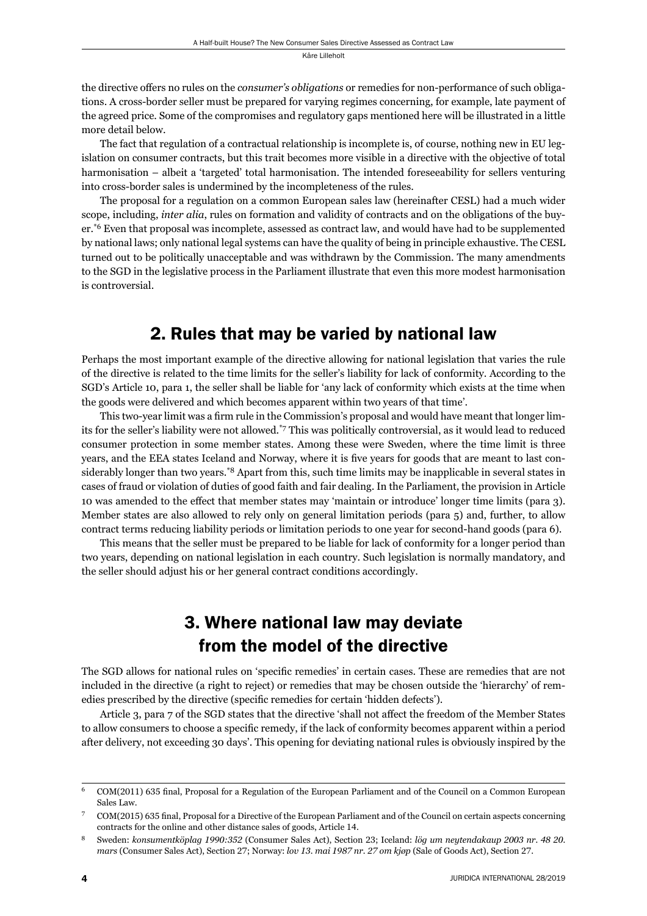the directive offers no rules on the *consumer's obligations* or remedies for non-performance of such obligations. A cross-border seller must be prepared for varying regimes concerning, for example, late payment of the agreed price. Some of the compromises and regulatory gaps mentioned here will be illustrated in a little more detail below.

The fact that regulation of a contractual relationship is incomplete is, of course, nothing new in EU legislation on consumer contracts, but this trait becomes more visible in a directive with the objective of total harmonisation – albeit a 'targeted' total harmonisation. The intended foreseeability for sellers venturing into cross-border sales is undermined by the incompleteness of the rules.

The proposal for a regulation on a common European sales law (hereinafter CESL) had a much wider scope, including, *inter alia*, rules on formation and validity of contracts and on the obligations of the buyer.\*6 Even that proposal was incomplete, assessed as contract law, and would have had to be supplemented by national laws; only national legal systems can have the quality of being in principle exhaustive. The CESL turned out to be politically unacceptable and was withdrawn by the Commission. The many amendments to the SGD in the legislative process in the Parliament illustrate that even this more modest harmonisation is controversial.

#### 2. Rules that may be varied by national law

Perhaps the most important example of the directive allowing for national legislation that varies the rule of the directive is related to the time limits for the seller's liability for lack of conformity. According to the SGD's Article 10, para 1, the seller shall be liable for 'any lack of conformity which exists at the time when the goods were delivered and which becomes apparent within two years of that time'.

This two-year limit was a firm rule in the Commission's proposal and would have meant that longer limits for the seller's liability were not allowed.\*7 This was politically controversial, as it would lead to reduced consumer protection in some member states. Among these were Sweden, where the time limit is three years, and the EEA states Iceland and Norway, where it is five years for goods that are meant to last considerably longer than two years.\*8 Apart from this, such time limits may be inapplicable in several states in cases of fraud or violation of duties of good faith and fair dealing. In the Parliament, the provision in Article 10 was amended to the effect that member states may 'maintain or introduce' longer time limits (para 3). Member states are also allowed to rely only on general limitation periods (para 5) and, further, to allow contract terms reducing liability periods or limitation periods to one year for second-hand goods (para 6).

This means that the seller must be prepared to be liable for lack of conformity for a longer period than two years, depending on national legislation in each country. Such legislation is normally mandatory, and the seller should adjust his or her general contract conditions accordingly.

## 3. Where national law may deviate from the model of the directive

The SGD allows for national rules on 'specific remedies' in certain cases. These are remedies that are not included in the directive (a right to reject) or remedies that may be chosen outside the 'hierarchy' of remedies prescribed by the directive (specific remedies for certain 'hidden defects').

Article 3, para 7 of the SGD states that the directive 'shall not affect the freedom of the Member States to allow consumers to choose a specific remedy, if the lack of conformity becomes apparent within a period after delivery, not exceeding 30 days'. This opening for deviating national rules is obviously inspired by the

<sup>&</sup>lt;sup>6</sup> COM(2011) 635 final, Proposal for a Regulation of the European Parliament and of the Council on a Common European Sales Law.

COM(2015) 635 final, Proposal for a Directive of the European Parliament and of the Council on certain aspects concerning contracts for the online and other distance sales of goods, Article 14.

<sup>ɹ</sup> Sweden: *konsumentköplag ɲɺɺɱ:ɴɶɳ* (Consumer Sales Act), Section ɳɴ; Iceland: *lög um neytendakaup ɳɱɱɴ nr. ɵɹ ɳɱ. mars* (Consumer Sales Act), Section 27; Norway: *lov 13. mai 1987 nr. 27 om kjøp* (Sale of Goods Act), Section 27.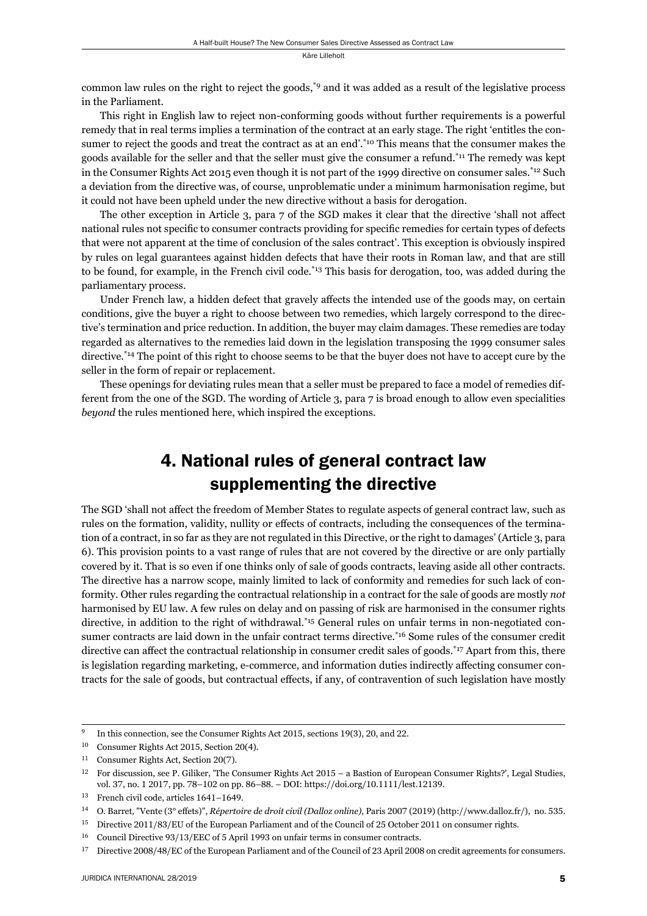common law rules on the right to reject the goods,\*9 and it was added as a result of the legislative process in the Parliament.

This right in English law to reject non-conforming goods without further requirements is a powerful remedy that in real terms implies a termination of the contract at an early stage. The right 'entitles the consumer to reject the goods and treat the contract as at an end'.<sup>\*10</sup> This means that the consumer makes the goods available for the seller and that the seller must give the consumer a refund.\*11 The remedy was kept in the Consumer Rights Act 2015 even though it is not part of the 1999 directive on consumer sales.<sup>\*12</sup> Such a deviation from the directive was, of course, unproblematic under a minimum harmonisation regime, but it could not have been upheld under the new directive without a basis for derogation.

The other exception in Article 3, para 7 of the SGD makes it clear that the directive 'shall not affect national rules not specific to consumer contracts providing for specific remedies for certain types of defects that were not apparent at the time of conclusion of the sales contract'. This exception is obviously inspired by rules on legal guarantees against hidden defects that have their roots in Roman law, and that are still to be found, for example, in the French civil code. $*13$  This basis for derogation, too, was added during the parliamentary process.

Under French law, a hidden defect that gravely affects the intended use of the goods may, on certain conditions, give the buyer a right to choose between two remedies, which largely correspond to the directive's termination and price reduction. In addition, the buyer may claim damages. These remedies are today regarded as alternatives to the remedies laid down in the legislation transposing the 1999 consumer sales directive.\*14 The point of this right to choose seems to be that the buyer does not have to accept cure by the seller in the form of repair or replacement.

These openings for deviating rules mean that a seller must be prepared to face a model of remedies different from the one of the SGD. The wording of Article 3, para 7 is broad enough to allow even specialities *beyond* the rules mentioned here, which inspired the exceptions.

#### 4. National rules of general contract law supplementing the directive

The SGD 'shall not affect the freedom of Member States to regulate aspects of general contract law, such as rules on the formation, validity, nullity or effects of contracts, including the consequences of the termination of a contract, in so far as they are not regulated in this Directive, or the right to damages' (Article 3, para 6). This provision points to a vast range of rules that are not covered by the directive or are only partially covered by it. That is so even if one thinks only of sale of goods contracts, leaving aside all other contracts. The directive has a narrow scope, mainly limited to lack of conformity and remedies for such lack of conformity. Other rules regarding the contractual relationship in a contract for the sale of goods are mostly *not* harmonised by EU law. A few rules on delay and on passing of risk are harmonised in the consumer rights directive, in addition to the right of withdrawal.\*15 General rules on unfair terms in non-negotiated consumer contracts are laid down in the unfair contract terms directive.<sup>\*16</sup> Some rules of the consumer credit directive can affect the contractual relationship in consumer credit sales of goods.<sup>\*17</sup> Apart from this, there is legislation regarding marketing, e-commerce, and information duties indirectly affecting consumer contracts for the sale of goods, but contractual effects, if any, of contravention of such legislation have mostly

<sup>&</sup>lt;sup>9</sup> In this connection, see the Consumer Rights Act 2015, sections 19(3), 20, and 22.

<sup>&</sup>lt;sup>10</sup> Consumer Rights Act 2015, Section 20(4).

<sup>&</sup>lt;sup>11</sup> Consumer Rights Act, Section 20(7).

<sup>&</sup>lt;sup>12</sup> For discussion, see P. Giliker, 'The Consumer Rights Act 2015 – a Bastion of European Consumer Rights?', Legal Studies, vol. 37, no. 1 2017, pp. 78–102 on pp. 86–88. – DOI: https://doi.org/10.1111/lest.12139.

 $13$  French civil code, articles  $1641-1649$ .

<sup>&</sup>lt;sup>14</sup> O. Barret, "Vente (3° effets)", *Répertoire de droit civil (Dalloz online)*, Paris 2007 (2019) (http://www.dalloz.fr/), no. 535.

<sup>&</sup>lt;sup>15</sup> Directive 2011/83/EU of the European Parliament and of the Council of 25 October 2011 on consumer rights.

 $16$  Council Directive  $93/13/EEC$  of  $5$  April 1993 on unfair terms in consumer contracts.

<sup>&</sup>lt;sup>17</sup> Directive 2008/48/EC of the European Parliament and of the Council of 23 April 2008 on credit agreements for consumers.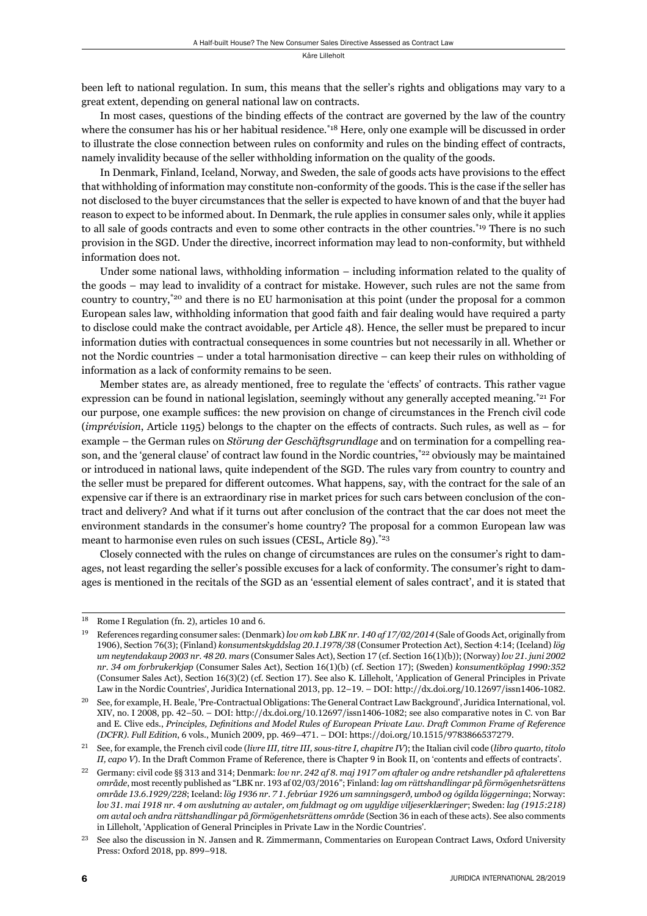been left to national regulation. In sum, this means that the seller's rights and obligations may vary to a great extent, depending on general national law on contracts.

In most cases, questions of the binding effects of the contract are governed by the law of the country where the consumer has his or her habitual residence.<sup>\*18</sup> Here, only one example will be discussed in order to illustrate the close connection between rules on conformity and rules on the binding effect of contracts, namely invalidity because of the seller withholding information on the quality of the goods.

In Denmark, Finland, Iceland, Norway, and Sweden, the sale of goods acts have provisions to the effect that withholding of information may constitute non-conformity of the goods. This is the case if the seller has not disclosed to the buyer circumstances that the seller is expected to have known of and that the buyer had reason to expect to be informed about. In Denmark, the rule applies in consumer sales only, while it applies to all sale of goods contracts and even to some other contracts in the other countries.<sup>\*19</sup> There is no such provision in the SGD. Under the directive, incorrect information may lead to non-conformity, but withheld information does not.

Under some national laws, withholding information – including information related to the quality of the goods – may lead to invalidity of a contract for mistake. However, such rules are not the same from country to country,<sup>\*20</sup> and there is no EU harmonisation at this point (under the proposal for a common European sales law, withholding information that good faith and fair dealing would have required a party to disclose could make the contract avoidable, per Article 48). Hence, the seller must be prepared to incur information duties with contractual consequences in some countries but not necessarily in all. Whether or not the Nordic countries – under a total harmonisation directive – can keep their rules on withholding of information as a lack of conformity remains to be seen.

Member states are, as already mentioned, free to regulate the 'effects' of contracts. This rather vague expression can be found in national legislation, seemingly without any generally accepted meaning.<sup>\*21</sup> For our purpose, one example suffices: the new provision on change of circumstances in the French civil code (*imprévision*, Article 1195) belongs to the chapter on the effects of contracts. Such rules, as well as – for example – the German rules on *Störung der Geschäftsgrundlage* and on termination for a compelling reason, and the 'general clause' of contract law found in the Nordic countries,<sup>\*22</sup> obviously may be maintained or introduced in national laws, quite independent of the SGD. The rules vary from country to country and the seller must be prepared for different outcomes. What happens, say, with the contract for the sale of an expensive car if there is an extraordinary rise in market prices for such cars between conclusion of the contract and delivery? And what if it turns out after conclusion of the contract that the car does not meet the environment standards in the consumer's home country? The proposal for a common European law was meant to harmonise even rules on such issues (CESL, Article 89).<sup>\*23</sup>

Closely connected with the rules on change of circumstances are rules on the consumer's right to damages, not least regarding the seller's possible excuses for a lack of conformity. The consumer's right to damages is mentioned in the recitals of the SGD as an 'essential element of sales contract', and it is stated that

 $18$  Rome I Regulation (fn. 2), articles 10 and 6.

<sup>&</sup>lt;sup>19</sup> References regarding consumer sales: (Denmark) *lov om køb LBK nr. 140 af 17/02/2014* (Sale of Goods Act, originally from 1906), Section 76(3); (Finland) *konsumentskyddslag 20.1.1978/38* (Consumer Protection Act), Section 4:14; (Iceland) *lög um neytendakaup 2003 nr. 48 20. mars* (Consumer Sales Act), Section 17 (cf. Section 16(1)(b)); (Norway) *lov 21. juni 2002 nr. 34 om forbrukerkjøp* (Consumer Sales Act), Section 16(1)(b) (cf. Section 17); (Sweden) konsumentköplag 1990:352  $(Consumer Sales Act)$ , Section  $16(3)(2)$  (cf. Section 17). See also K. Lilleholt, 'Application of General Principles in Private Law in the Nordic Countries', Juridica International 2013, pp. 12-19. – DOI: http://dx.doi.org/10.12697/issn1406-1082.

See, for example, H. Beale, 'Pre-Contractual Obligations: The General Contract Law Background', Juridica International, vol. XIV, no. I 2008, pp. 42–50. – DOI: http://dx.doi.org/10.12697/issn1406-1082; see also comparative notes in C. von Bar and E. Clive eds., *Principles, Definitions and Model Rules of European Private Law. Draft Common Frame of Reference (DCFR). Full Edition, 6 vols., Munich 2009, pp. 469-471. – DOI: https://doi.org/10.1515/9783866537279.* 

ɳɲ See, for example, the French civil code (*livre III, titre III, sous-titre I, chapitre IV*); the Italian civil code (*libro quarto, titolo II, capo V*). In the Draft Common Frame of Reference, there is Chapter 9 in Book II, on 'contents and effects of contracts'.

<sup>&</sup>lt;sup>22</sup> Germany: civil code §§ 313 and 314; Denmark: *lov nr. 242 af 8, maj 1917 om aftaler og andre retshandler på aftalerettens område*, most recently published as "LBK nr. ɲɺɴ af ɱɳ/ɱɴ/ɳɱɲɷ"; Finland: *lag om rättshandlingar på förmögenhetsrättens*  område 13.6.1929/228; Iceland: lög 1936 nr. 71. febrúar 1926 um samningsgerð, umboð og ógilda löggerninga; Norway: *lov 31. mai 1918 nr. 4 om avslutning av avtaler, om fuldmagt og om ugyldige viljeserklæringer; Sweden: lag (1915:218) om avtal och andra rättshandlingar på förmögenhetsrättens område* (Section 36 in each of these acts). See also comments in Lilleholt, 'Application of General Principles in Private Law in the Nordic Countries'.

<sup>&</sup>lt;sup>23</sup> See also the discussion in N. Jansen and R. Zimmermann, Commentaries on European Contract Laws, Oxford University Press: Oxford 2018, pp. 899-918.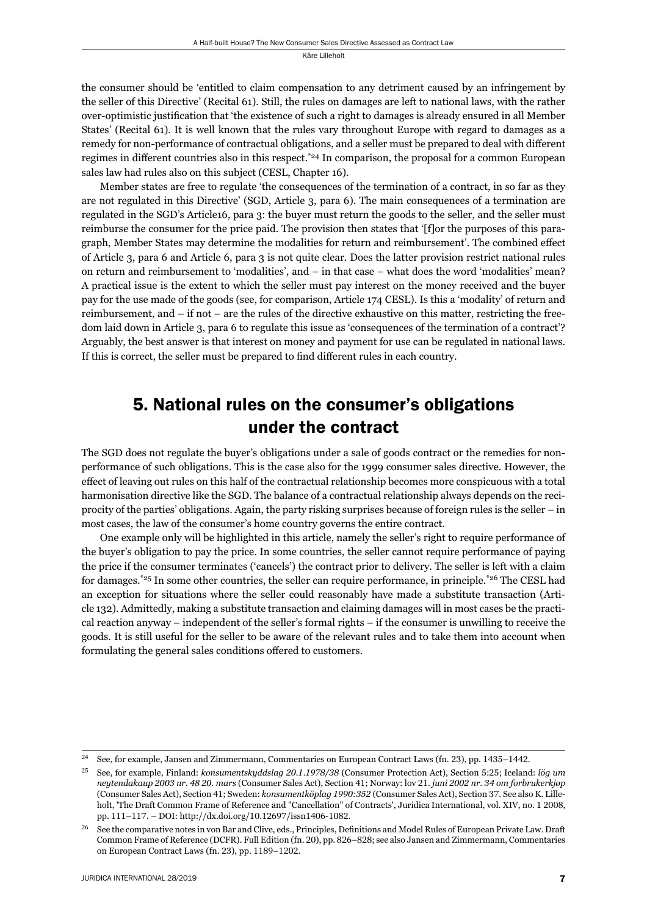the consumer should be 'entitled to claim compensation to any detriment caused by an infringement by the seller of this Directive' (Recital 61). Still, the rules on damages are left to national laws, with the rather over-optimistic justification that 'the existence of such a right to damages is already ensured in all Member States' (Recital 61). It is well known that the rules vary throughout Europe with regard to damages as a remedy for non-performance of contractual obligations, and a seller must be prepared to deal with different regimes in different countries also in this respect.<sup>\*24</sup> In comparison, the proposal for a common European sales law had rules also on this subject (CESL, Chapter 16).

Member states are free to regulate 'the consequences of the termination of a contract, in so far as they are not regulated in this Directive' (SGD, Article 3, para 6). The main consequences of a termination are regulated in the SGD's Article16, para 3: the buyer must return the goods to the seller, and the seller must reimburse the consumer for the price paid. The provision then states that '[f]or the purposes of this paragraph, Member States may determine the modalities for return and reimbursement'. The combined effect of Article 3, para 6 and Article 6, para 3 is not quite clear. Does the latter provision restrict national rules on return and reimbursement to 'modalities', and – in that case – what does the word 'modalities' mean? A practical issue is the extent to which the seller must pay interest on the money received and the buyer pay for the use made of the goods (see, for comparison, Article 174 CESL). Is this a 'modality' of return and reimbursement, and – if not – are the rules of the directive exhaustive on this matter, restricting the freedom laid down in Article 3, para 6 to regulate this issue as 'consequences of the termination of a contract'? Arguably, the best answer is that interest on money and payment for use can be regulated in national laws. If this is correct, the seller must be prepared to find different rules in each country.

### 5. National rules on the consumer's obligations under the contract

The SGD does not regulate the buyer's obligations under a sale of goods contract or the remedies for nonperformance of such obligations. This is the case also for the 1999 consumer sales directive. However, the effect of leaving out rules on this half of the contractual relationship becomes more conspicuous with a total harmonisation directive like the SGD. The balance of a contractual relationship always depends on the reciprocity of the parties' obligations. Again, the party risking surprises because of foreign rules is the seller – in most cases, the law of the consumer's home country governs the entire contract.

One example only will be highlighted in this article, namely the seller's right to require performance of the buyer's obligation to pay the price. In some countries, the seller cannot require performance of paying the price if the consumer terminates ('cancels') the contract prior to delivery. The seller is left with a claim for damages.<sup>\*25</sup> In some other countries, the seller can require performance, in principle.<sup>\*26</sup> The CESL had an exception for situations where the seller could reasonably have made a substitute trans action (Article 132). Admittedly, making a substitute transaction and claiming damages will in most cases be the practical reaction anyway – independent of the seller's formal rights – if the consumer is unwilling to receive the goods. It is still useful for the seller to be aware of the relevant rules and to take them into account when formulating the general sales conditions offered to customers.

<sup>&</sup>lt;sup>24</sup> See, for example, Jansen and Zimmermann, Commentaries on European Contract Laws (fn. 23), pp. 1435–1442.

ɳɶ See, for example, Finland: *konsumentskyddslag ɳɱ.ɲ.ɲɺɸɹ/ɴɹ* (Consumer Protection Act), Section ɶ:ɳɶ; Iceland: *lög um neytendakaup ɳɱɱɴ nr. ɵɹ ɳɱ. mars* (Consumer Sales Act), Section ɵɲ; Norway: lov ɳɲ. *juni ɳɱɱɳ nr. ɴɵ om forbrukerkjøp* (Consumer Sales Act), Section 41; Sweden: *konsumentköplag 1990:352* (Consumer Sales Act), Section 37. See also K. Lilleholt, 'The Draft Common Frame of Reference and "Cancellation" of Contracts', Juridica International, vol. XIV, no. 1 2008, pp. 111–117. – DOI: http://dx.doi.org/10.12697/issn1406-1082.

<sup>&</sup>lt;sup>26</sup> See the comparative notes in von Bar and Clive, eds., Principles, Definitions and Model Rules of European Private Law. Draft Common Frame of Reference (DCFR). Full Edition (fn. 20), pp. 826–828; see also Jansen and Zimmermann, Commentaries on European Contract Laws (fn. 23), pp. 1189-1202.